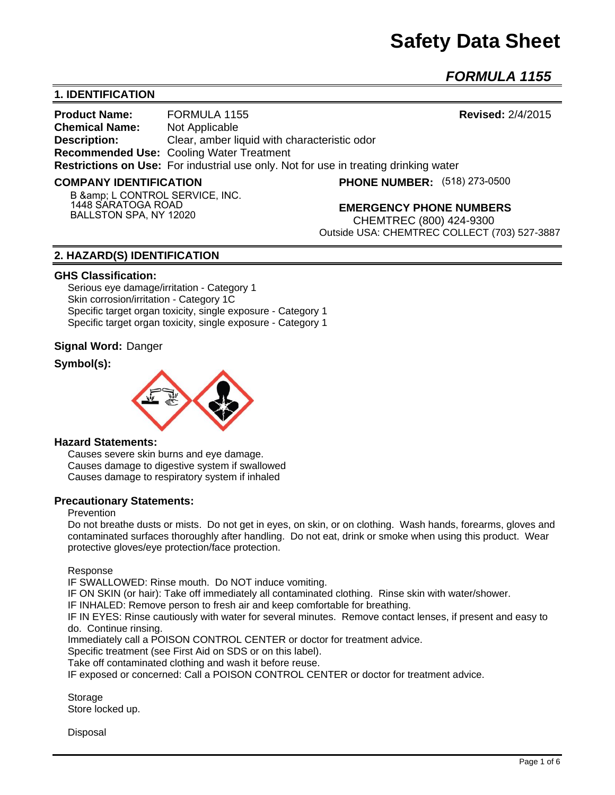# **Safety Data Sheet**

*FORMULA 1155*

# **1. IDENTIFICATION**

**Product Name:** FORMULA 1155 **Revised:** 2/4/2015 **Chemical Name:** Not Applicable **Description:** Clear, amber liquid with characteristic odor **Recommended Use:** Cooling Water Treatment **Restrictions on Use:** For industrial use only. Not for use in treating drinking water

#### **COMPANY IDENTIFICATION**

**PHONE NUMBER:** (518) 273-0500

**B & amp: L CONTROL SERVICE, INC. 1448 SARATOGA ROAD BALLSTON SPA, NY 12020**

**EMERGENCY PHONE NUMBERS**

 CHEMTREC (800) 424-9300 Outside USA: CHEMTREC COLLECT (703) 527-3887

### **2. HAZARD(S) IDENTIFICATION**

#### **GHS Classification:**

Serious eye damage/irritation - Category 1 Skin corrosion/irritation - Category 1C Specific target organ toxicity, single exposure - Category 1 Specific target organ toxicity, single exposure - Category 1

### **Signal Word:** Danger

# **Symbol(s):**



#### **Hazard Statements:**

Causes severe skin burns and eye damage. Causes damage to digestive system if swallowed Causes damage to respiratory system if inhaled

#### **Precautionary Statements:**

#### Prevention

Do not breathe dusts or mists. Do not get in eyes, on skin, or on clothing. Wash hands, forearms, gloves and contaminated surfaces thoroughly after handling. Do not eat, drink or smoke when using this product. Wear protective gloves/eye protection/face protection.

Response

IF SWALLOWED: Rinse mouth. Do NOT induce vomiting.

IF ON SKIN (or hair): Take off immediately all contaminated clothing. Rinse skin with water/shower.

IF INHALED: Remove person to fresh air and keep comfortable for breathing.

IF IN EYES: Rinse cautiously with water for several minutes. Remove contact lenses, if present and easy to do. Continue rinsing.

Immediately call a POISON CONTROL CENTER or doctor for treatment advice.

Specific treatment (see First Aid on SDS or on this label).

Take off contaminated clothing and wash it before reuse.

IF exposed or concerned: Call a POISON CONTROL CENTER or doctor for treatment advice.

Storage Store locked up.

**Disposal**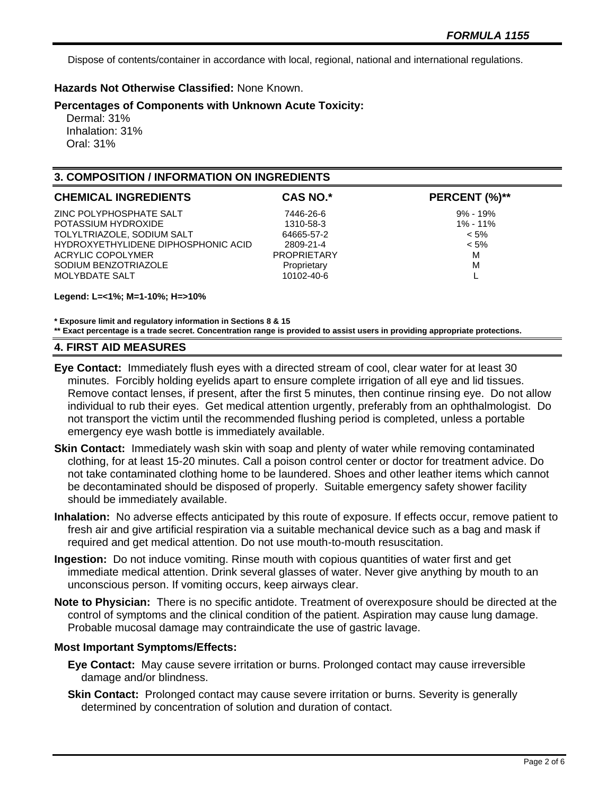Dispose of contents/container in accordance with local, regional, national and international regulations.

## **Hazards Not Otherwise Classified:** None Known.

**Percentages of Components with Unknown Acute Toxicity:** 

 Dermal: 31% Inhalation: 31% Oral: 31%

# **3. COMPOSITION / INFORMATION ON INGREDIENTS**

| $9\%$ - 19%                                  |
|----------------------------------------------|
| $1\% - 11\%$<br>$< 5\%$<br>$< 5\%$<br>M<br>M |
|                                              |

**Legend: L=<1%; M=1-10%; H=>10%**

**\* Exposure limit and regulatory information in Sections 8 & 15**

**\*\* Exact percentage is a trade secret. Concentration range is provided to assist users in providing appropriate protections.**

### **4. FIRST AID MEASURES**

- **Eye Contact:** Immediately flush eyes with a directed stream of cool, clear water for at least 30 minutes. Forcibly holding eyelids apart to ensure complete irrigation of all eye and lid tissues. Remove contact lenses, if present, after the first 5 minutes, then continue rinsing eye. Do not allow individual to rub their eyes. Get medical attention urgently, preferably from an ophthalmologist. Do not transport the victim until the recommended flushing period is completed, unless a portable emergency eye wash bottle is immediately available.
- **Skin Contact:** Immediately wash skin with soap and plenty of water while removing contaminated clothing, for at least 15-20 minutes. Call a poison control center or doctor for treatment advice. Do not take contaminated clothing home to be laundered. Shoes and other leather items which cannot be decontaminated should be disposed of properly. Suitable emergency safety shower facility should be immediately available.
- **Inhalation:** No adverse effects anticipated by this route of exposure. If effects occur, remove patient to fresh air and give artificial respiration via a suitable mechanical device such as a bag and mask if required and get medical attention. Do not use mouth-to-mouth resuscitation.
- **Ingestion:** Do not induce vomiting. Rinse mouth with copious quantities of water first and get immediate medical attention. Drink several glasses of water. Never give anything by mouth to an unconscious person. If vomiting occurs, keep airways clear.
- **Note to Physician:** There is no specific antidote. Treatment of overexposure should be directed at the control of symptoms and the clinical condition of the patient. Aspiration may cause lung damage. Probable mucosal damage may contraindicate the use of gastric lavage.

### **Most Important Symptoms/Effects:**

- **Eye Contact:** May cause severe irritation or burns. Prolonged contact may cause irreversible damage and/or blindness.
- **Skin Contact:** Prolonged contact may cause severe irritation or burns. Severity is generally determined by concentration of solution and duration of contact.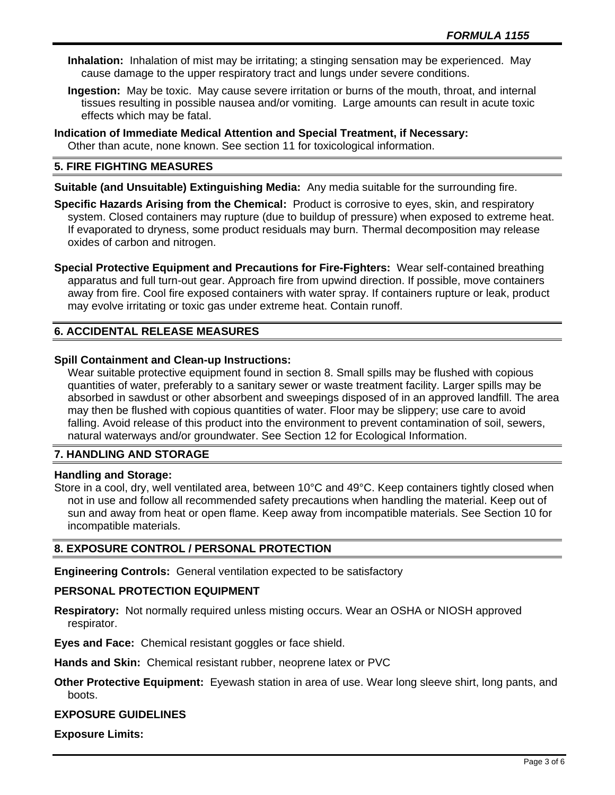- **Inhalation:** Inhalation of mist may be irritating; a stinging sensation may be experienced. May cause damage to the upper respiratory tract and lungs under severe conditions.
- **Ingestion:** May be toxic. May cause severe irritation or burns of the mouth, throat, and internal tissues resulting in possible nausea and/or vomiting. Large amounts can result in acute toxic effects which may be fatal.
- **Indication of Immediate Medical Attention and Special Treatment, if Necessary:** Other than acute, none known. See section 11 for toxicological information.

## **5. FIRE FIGHTING MEASURES**

**Suitable (and Unsuitable) Extinguishing Media:** Any media suitable for the surrounding fire.

- **Specific Hazards Arising from the Chemical:** Product is corrosive to eyes, skin, and respiratory system. Closed containers may rupture (due to buildup of pressure) when exposed to extreme heat. If evaporated to dryness, some product residuals may burn. Thermal decomposition may release oxides of carbon and nitrogen.
- **Special Protective Equipment and Precautions for Fire-Fighters:** Wear self-contained breathing apparatus and full turn-out gear. Approach fire from upwind direction. If possible, move containers away from fire. Cool fire exposed containers with water spray. If containers rupture or leak, product may evolve irritating or toxic gas under extreme heat. Contain runoff.

# **6. ACCIDENTAL RELEASE MEASURES**

### **Spill Containment and Clean-up Instructions:**

Wear suitable protective equipment found in section 8. Small spills may be flushed with copious quantities of water, preferably to a sanitary sewer or waste treatment facility. Larger spills may be absorbed in sawdust or other absorbent and sweepings disposed of in an approved landfill. The area may then be flushed with copious quantities of water. Floor may be slippery; use care to avoid falling. Avoid release of this product into the environment to prevent contamination of soil, sewers, natural waterways and/or groundwater. See Section 12 for Ecological Information.

## **7. HANDLING AND STORAGE**

### **Handling and Storage:**

Store in a cool, dry, well ventilated area, between 10°C and 49°C. Keep containers tightly closed when not in use and follow all recommended safety precautions when handling the material. Keep out of sun and away from heat or open flame. Keep away from incompatible materials. See Section 10 for incompatible materials.

# **8. EXPOSURE CONTROL / PERSONAL PROTECTION**

**Engineering Controls:** General ventilation expected to be satisfactory

## **PERSONAL PROTECTION EQUIPMENT**

**Respiratory:** Not normally required unless misting occurs. Wear an OSHA or NIOSH approved respirator.

**Eyes and Face:** Chemical resistant goggles or face shield.

**Hands and Skin:** Chemical resistant rubber, neoprene latex or PVC

**Other Protective Equipment:** Eyewash station in area of use. Wear long sleeve shirt, long pants, and boots.

### **EXPOSURE GUIDELINES**

**Exposure Limits:**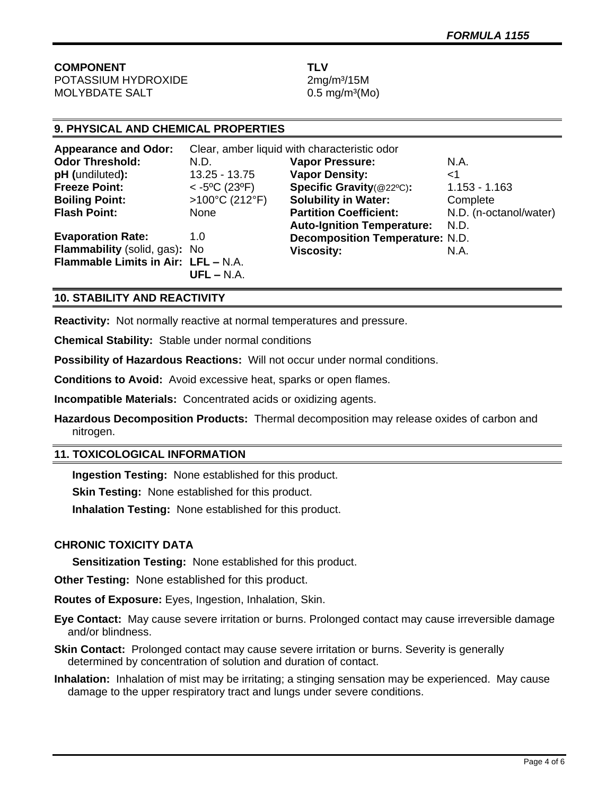**COMPONENT TLV** POTASSIUM HYDROXIDE 2mg/m<sup>3</sup>/15M

 $MOLYBDATE SALT$  0.5 mg/m<sup>3</sup>(Mo)

# **9. PHYSICAL AND CHEMICAL PROPERTIES**

| Clear, amber liquid with characteristic odor |                                                                      |                        |
|----------------------------------------------|----------------------------------------------------------------------|------------------------|
| N.D.                                         | <b>Vapor Pressure:</b>                                               | N.A.                   |
| 13.25 - 13.75                                | <b>Vapor Density:</b>                                                | ا>                     |
| $<$ -5°C (23°F)                              | Specific Gravity(@22°C):                                             | $1.153 - 1.163$        |
| >100°C (212°F)                               | <b>Solubility in Water:</b>                                          | Complete               |
| None                                         | <b>Partition Coefficient:</b>                                        | N.D. (n-octanol/water) |
|                                              | <b>Auto-Ignition Temperature:</b>                                    | N.D.                   |
| 1.0                                          | <b>Decomposition Temperature: N.D.</b>                               |                        |
|                                              | <b>Viscosity:</b>                                                    | N.A.                   |
| $UFL - N.A.$                                 |                                                                      |                        |
|                                              | Flammability (solid, gas): No<br>Flammable Limits in Air: LFL - N.A. |                        |

## **10. STABILITY AND REACTIVITY**

**Reactivity:** Not normally reactive at normal temperatures and pressure.

**Chemical Stability:** Stable under normal conditions

**Possibility of Hazardous Reactions:** Will not occur under normal conditions.

**Conditions to Avoid:** Avoid excessive heat, sparks or open flames.

**Incompatible Materials:** Concentrated acids or oxidizing agents.

**Hazardous Decomposition Products:** Thermal decomposition may release oxides of carbon and nitrogen.

## **11. TOXICOLOGICAL INFORMATION**

**Ingestion Testing:** None established for this product.

**Skin Testing:** None established for this product.

**Inhalation Testing:** None established for this product.

## **CHRONIC TOXICITY DATA**

**Sensitization Testing:** None established for this product.

**Other Testing:** None established for this product.

**Routes of Exposure:** Eyes, Ingestion, Inhalation, Skin.

**Eye Contact:** May cause severe irritation or burns. Prolonged contact may cause irreversible damage and/or blindness.

**Skin Contact:** Prolonged contact may cause severe irritation or burns. Severity is generally determined by concentration of solution and duration of contact.

**Inhalation:** Inhalation of mist may be irritating; a stinging sensation may be experienced. May cause damage to the upper respiratory tract and lungs under severe conditions.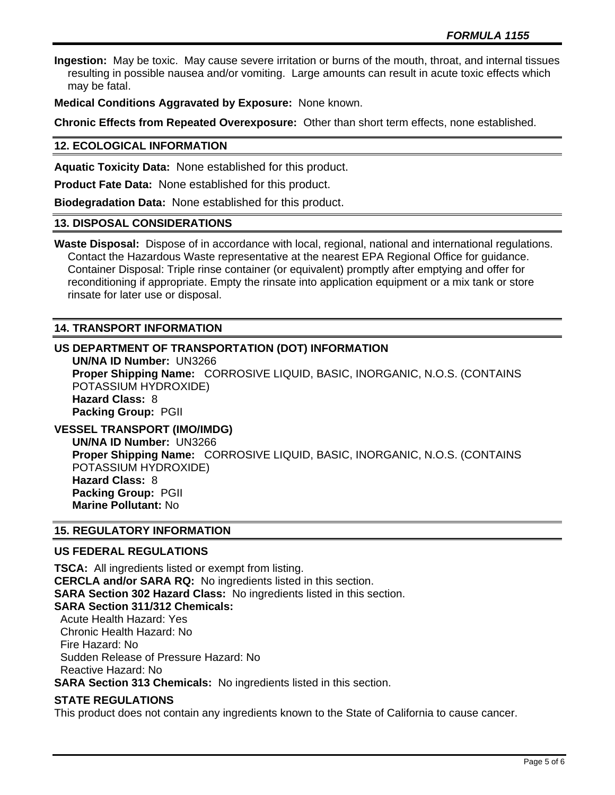**Ingestion:** May be toxic. May cause severe irritation or burns of the mouth, throat, and internal tissues resulting in possible nausea and/or vomiting. Large amounts can result in acute toxic effects which may be fatal.

**Medical Conditions Aggravated by Exposure:** None known.

**Chronic Effects from Repeated Overexposure:** Other than short term effects, none established.

## **12. ECOLOGICAL INFORMATION**

**Aquatic Toxicity Data:** None established for this product.

**Product Fate Data:** None established for this product.

**Biodegradation Data:** None established for this product.

#### **13. DISPOSAL CONSIDERATIONS**

**Waste Disposal:** Dispose of in accordance with local, regional, national and international regulations. Contact the Hazardous Waste representative at the nearest EPA Regional Office for guidance. Container Disposal: Triple rinse container (or equivalent) promptly after emptying and offer for reconditioning if appropriate. Empty the rinsate into application equipment or a mix tank or store rinsate for later use or disposal.

## **14. TRANSPORT INFORMATION**

## **US DEPARTMENT OF TRANSPORTATION (DOT) INFORMATION**

**UN/NA ID Number:** UN3266 **Proper Shipping Name:** CORROSIVE LIQUID, BASIC, INORGANIC, N.O.S. (CONTAINS POTASSIUM HYDROXIDE) **Hazard Class:** 8 **Packing Group:** PGII

# **VESSEL TRANSPORT (IMO/IMDG)**

**UN/NA ID Number:** UN3266 **Proper Shipping Name:** CORROSIVE LIQUID, BASIC, INORGANIC, N.O.S. (CONTAINS POTASSIUM HYDROXIDE) **Hazard Class:** 8 **Packing Group:** PGII **Marine Pollutant:** No

## **15. REGULATORY INFORMATION**

### **US FEDERAL REGULATIONS**

**TSCA:** All ingredients listed or exempt from listing. **CERCLA and/or SARA RQ:** No ingredients listed in this section. **SARA Section 302 Hazard Class:** No ingredients listed in this section. **SARA Section 311/312 Chemicals:**  Acute Health Hazard: Yes Chronic Health Hazard: No Fire Hazard: No Sudden Release of Pressure Hazard: No Reactive Hazard: No **SARA Section 313 Chemicals:** No ingredients listed in this section.

### **STATE REGULATIONS**

This product does not contain any ingredients known to the State of California to cause cancer.